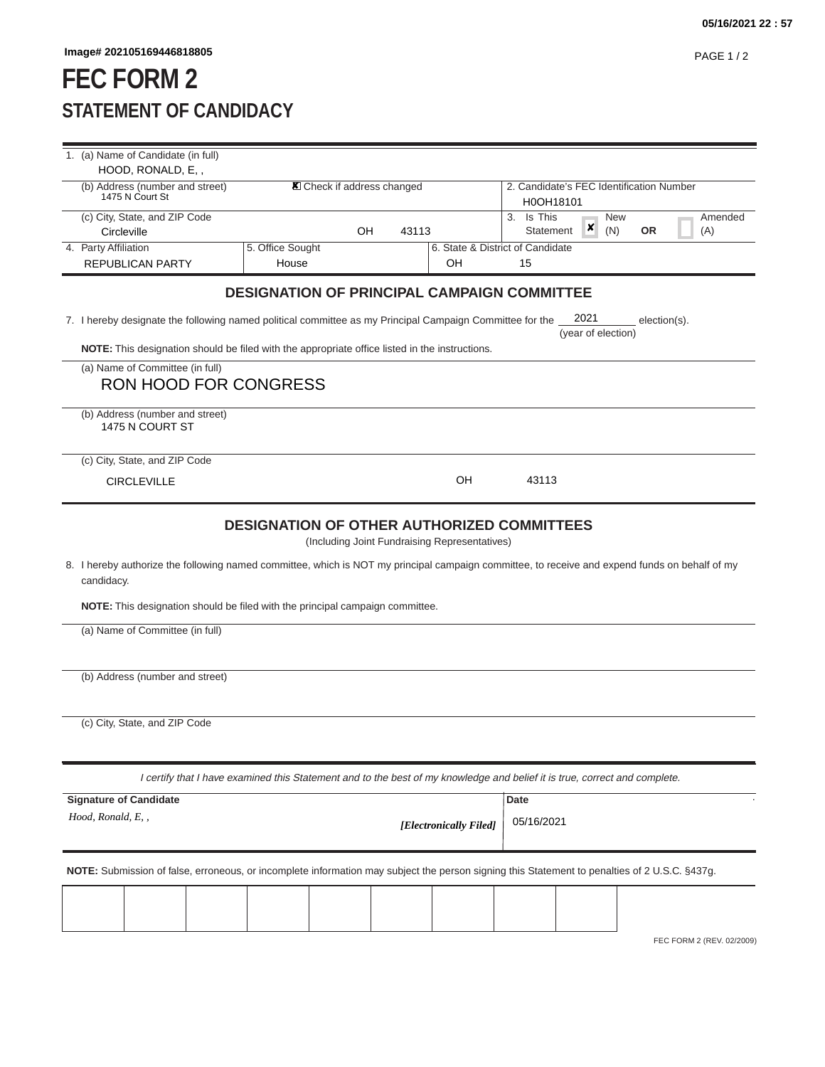## **FEC FORM 2 STATEMENT OF CANDIDACY**

|                                                                                                                                                | 1. (a) Name of Candidate (in full)                                                                                               |                                   |    |       |                        |                                          |                           |  |
|------------------------------------------------------------------------------------------------------------------------------------------------|----------------------------------------------------------------------------------------------------------------------------------|-----------------------------------|----|-------|------------------------|------------------------------------------|---------------------------|--|
|                                                                                                                                                | HOOD, RONALD, E,,<br>(b) Address (number and street)                                                                             | <b>X</b> Check if address changed |    |       |                        | 2. Candidate's FEC Identification Number |                           |  |
|                                                                                                                                                | 1475 N Court St                                                                                                                  |                                   |    |       |                        | H0OH18101                                |                           |  |
|                                                                                                                                                | (c) City, State, and ZIP Code                                                                                                    |                                   |    |       |                        | Is This<br>3.                            | <b>New</b><br>Amended     |  |
|                                                                                                                                                | Circleville                                                                                                                      |                                   | OH | 43113 |                        | ×<br>(N)<br>Statement                    | <b>OR</b><br>(A)          |  |
|                                                                                                                                                | 4. Party Affiliation<br><b>REPUBLICAN PARTY</b>                                                                                  | 5. Office Sought<br>House         |    |       | OH                     | 6. State & District of Candidate<br>15   |                           |  |
|                                                                                                                                                |                                                                                                                                  |                                   |    |       |                        |                                          |                           |  |
| <b>DESIGNATION OF PRINCIPAL CAMPAIGN COMMITTEE</b>                                                                                             |                                                                                                                                  |                                   |    |       |                        |                                          |                           |  |
|                                                                                                                                                | 2021<br>7. I hereby designate the following named political committee as my Principal Campaign Committee for the<br>election(s). |                                   |    |       |                        |                                          |                           |  |
|                                                                                                                                                | (year of election)                                                                                                               |                                   |    |       |                        |                                          |                           |  |
|                                                                                                                                                | NOTE: This designation should be filed with the appropriate office listed in the instructions.                                   |                                   |    |       |                        |                                          |                           |  |
|                                                                                                                                                | (a) Name of Committee (in full)<br><b>RON HOOD FOR CONGRESS</b>                                                                  |                                   |    |       |                        |                                          |                           |  |
|                                                                                                                                                | (b) Address (number and street)<br>1475 N COURT ST                                                                               |                                   |    |       |                        |                                          |                           |  |
|                                                                                                                                                | (c) City, State, and ZIP Code                                                                                                    |                                   |    |       |                        |                                          |                           |  |
|                                                                                                                                                | <b>CIRCLEVILLE</b>                                                                                                               |                                   |    |       | OH                     | 43113                                    |                           |  |
|                                                                                                                                                |                                                                                                                                  |                                   |    |       |                        |                                          |                           |  |
| <b>DESIGNATION OF OTHER AUTHORIZED COMMITTEES</b>                                                                                              |                                                                                                                                  |                                   |    |       |                        |                                          |                           |  |
| (Including Joint Fundraising Representatives)                                                                                                  |                                                                                                                                  |                                   |    |       |                        |                                          |                           |  |
| 8. I hereby authorize the following named committee, which is NOT my principal campaign committee, to receive and expend funds on behalf of my |                                                                                                                                  |                                   |    |       |                        |                                          |                           |  |
| candidacy.                                                                                                                                     |                                                                                                                                  |                                   |    |       |                        |                                          |                           |  |
| <b>NOTE:</b> This designation should be filed with the principal campaign committee.                                                           |                                                                                                                                  |                                   |    |       |                        |                                          |                           |  |
| (a) Name of Committee (in full)                                                                                                                |                                                                                                                                  |                                   |    |       |                        |                                          |                           |  |
|                                                                                                                                                |                                                                                                                                  |                                   |    |       |                        |                                          |                           |  |
|                                                                                                                                                |                                                                                                                                  |                                   |    |       |                        |                                          |                           |  |
|                                                                                                                                                | (b) Address (number and street)                                                                                                  |                                   |    |       |                        |                                          |                           |  |
|                                                                                                                                                |                                                                                                                                  |                                   |    |       |                        |                                          |                           |  |
|                                                                                                                                                | (c) City, State, and ZIP Code                                                                                                    |                                   |    |       |                        |                                          |                           |  |
|                                                                                                                                                |                                                                                                                                  |                                   |    |       |                        |                                          |                           |  |
| I certify that I have examined this Statement and to the best of my knowledge and belief it is true, correct and complete.                     |                                                                                                                                  |                                   |    |       |                        |                                          |                           |  |
|                                                                                                                                                |                                                                                                                                  |                                   |    |       |                        |                                          |                           |  |
| <b>Signature of Candidate</b><br>Date<br>Hood, Ronald, E,,                                                                                     |                                                                                                                                  |                                   |    |       |                        |                                          |                           |  |
|                                                                                                                                                |                                                                                                                                  |                                   |    |       | [Electronically Filed] | 05/16/2021                               |                           |  |
|                                                                                                                                                |                                                                                                                                  |                                   |    |       |                        |                                          |                           |  |
| NOTE: Submission of false, erroneous, or incomplete information may subject the person signing this Statement to penalties of 2 U.S.C. §437g.  |                                                                                                                                  |                                   |    |       |                        |                                          |                           |  |
|                                                                                                                                                |                                                                                                                                  |                                   |    |       |                        |                                          |                           |  |
|                                                                                                                                                |                                                                                                                                  |                                   |    |       |                        |                                          |                           |  |
|                                                                                                                                                |                                                                                                                                  |                                   |    |       |                        |                                          | FEC FORM 2 (REV. 02/2009) |  |
|                                                                                                                                                |                                                                                                                                  |                                   |    |       |                        |                                          |                           |  |